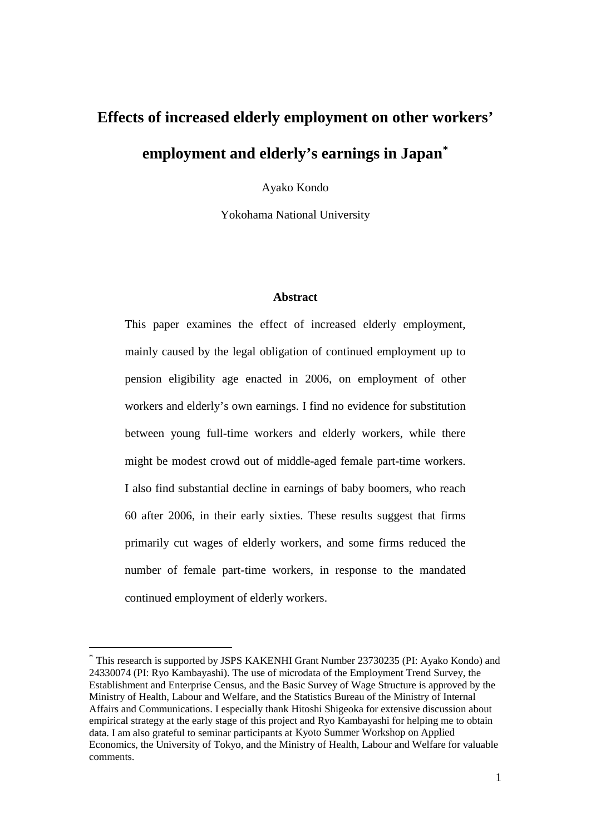# **Effects of increased elderly employment on other workers' employment and elderly's earnings in Japan[\\*](#page-0-0)**

Ayako Kondo

Yokohama National University

#### **Abstract**

This paper examines the effect of increased elderly employment, mainly caused by the legal obligation of continued employment up to pension eligibility age enacted in 2006, on employment of other workers and elderly's own earnings. I find no evidence for substitution between young full-time workers and elderly workers, while there might be modest crowd out of middle-aged female part-time workers. I also find substantial decline in earnings of baby boomers, who reach 60 after 2006, in their early sixties. These results suggest that firms primarily cut wages of elderly workers, and some firms reduced the number of female part-time workers, in response to the mandated continued employment of elderly workers.

 $\overline{a}$ 

<span id="page-0-0"></span><sup>\*</sup> This research is supported by JSPS KAKENHI Grant Number 23730235 (PI: Ayako Kondo) and 24330074 (PI: Ryo Kambayashi). The use of microdata of the Employment Trend Survey, the Establishment and Enterprise Census, and the Basic Survey of Wage Structure is approved by the Ministry of Health, Labour and Welfare, and the Statistics Bureau of the Ministry of Internal Affairs and Communications. I especially thank Hitoshi Shigeoka for extensive discussion about empirical strategy at the early stage of this project and Ryo Kambayashi for helping me to obtain data. I am also grateful to seminar participants at Kyoto Summer Workshop on Applied Economics, the University of Tokyo, and the Ministry of Health, Labour and Welfare for valuable comments.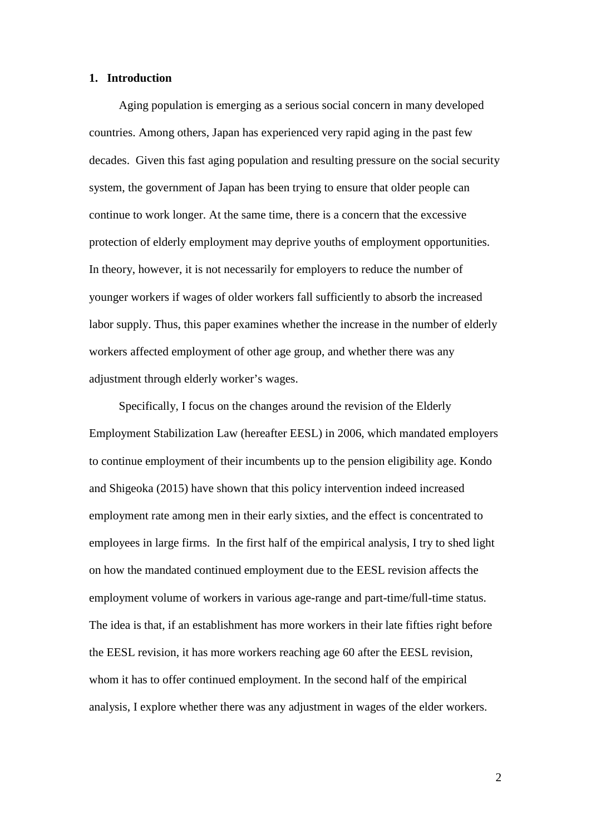#### **1. Introduction**

Aging population is emerging as a serious social concern in many developed countries. Among others, Japan has experienced very rapid aging in the past few decades. Given this fast aging population and resulting pressure on the social security system, the government of Japan has been trying to ensure that older people can continue to work longer. At the same time, there is a concern that the excessive protection of elderly employment may deprive youths of employment opportunities. In theory, however, it is not necessarily for employers to reduce the number of younger workers if wages of older workers fall sufficiently to absorb the increased labor supply. Thus, this paper examines whether the increase in the number of elderly workers affected employment of other age group, and whether there was any adjustment through elderly worker's wages.

Specifically, I focus on the changes around the revision of the Elderly Employment Stabilization Law (hereafter EESL) in 2006, which mandated employers to continue employment of their incumbents up to the pension eligibility age. Kondo and Shigeoka (2015) have shown that this policy intervention indeed increased employment rate among men in their early sixties, and the effect is concentrated to employees in large firms. In the first half of the empirical analysis, I try to shed light on how the mandated continued employment due to the EESL revision affects the employment volume of workers in various age-range and part-time/full-time status. The idea is that, if an establishment has more workers in their late fifties right before the EESL revision, it has more workers reaching age 60 after the EESL revision, whom it has to offer continued employment. In the second half of the empirical analysis, I explore whether there was any adjustment in wages of the elder workers.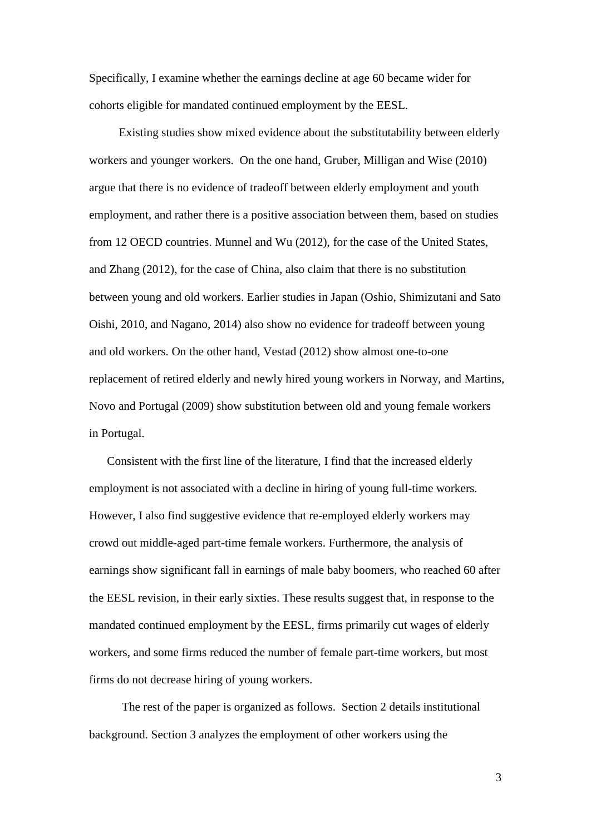Specifically, I examine whether the earnings decline at age 60 became wider for cohorts eligible for mandated continued employment by the EESL.

 Existing studies show mixed evidence about the substitutability between elderly workers and younger workers. On the one hand, Gruber, Milligan and Wise (2010) argue that there is no evidence of tradeoff between elderly employment and youth employment, and rather there is a positive association between them, based on studies from 12 OECD countries. Munnel and Wu (2012), for the case of the United States, and Zhang (2012), for the case of China, also claim that there is no substitution between young and old workers. Earlier studies in Japan (Oshio, Shimizutani and Sato Oishi, 2010, and Nagano, 2014) also show no evidence for tradeoff between young and old workers. On the other hand, Vestad (2012) show almost one-to-one replacement of retired elderly and newly hired young workers in Norway, and Martins, Novo and Portugal (2009) show substitution between old and young female workers in Portugal.

 Consistent with the first line of the literature, I find that the increased elderly employment is not associated with a decline in hiring of young full-time workers. However, I also find suggestive evidence that re-employed elderly workers may crowd out middle-aged part-time female workers. Furthermore, the analysis of earnings show significant fall in earnings of male baby boomers, who reached 60 after the EESL revision, in their early sixties. These results suggest that, in response to the mandated continued employment by the EESL, firms primarily cut wages of elderly workers, and some firms reduced the number of female part-time workers, but most firms do not decrease hiring of young workers.

 The rest of the paper is organized as follows. Section 2 details institutional background. Section 3 analyzes the employment of other workers using the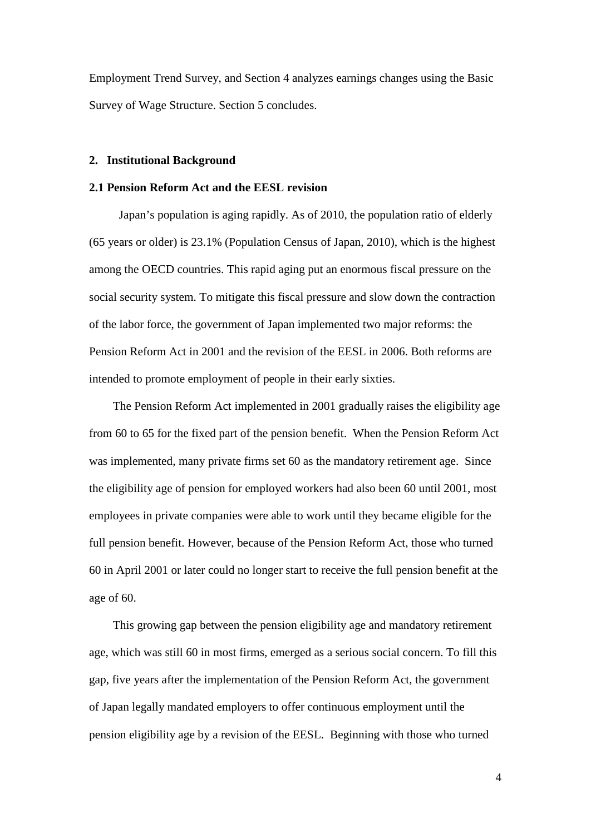Employment Trend Survey, and Section 4 analyzes earnings changes using the Basic Survey of Wage Structure. Section 5 concludes.

#### **2. Institutional Background**

#### **2.1 Pension Reform Act and the EESL revision**

Japan's population is aging rapidly. As of 2010, the population ratio of elderly (65 years or older) is 23.1% (Population Census of Japan, 2010), which is the highest among the OECD countries. This rapid aging put an enormous fiscal pressure on the social security system. To mitigate this fiscal pressure and slow down the contraction of the labor force, the government of Japan implemented two major reforms: the Pension Reform Act in 2001 and the revision of the EESL in 2006. Both reforms are intended to promote employment of people in their early sixties.

The Pension Reform Act implemented in 2001 gradually raises the eligibility age from 60 to 65 for the fixed part of the pension benefit. When the Pension Reform Act was implemented, many private firms set 60 as the mandatory retirement age. Since the eligibility age of pension for employed workers had also been 60 until 2001, most employees in private companies were able to work until they became eligible for the full pension benefit. However, because of the Pension Reform Act, those who turned 60 in April 2001 or later could no longer start to receive the full pension benefit at the age of 60.

This growing gap between the pension eligibility age and mandatory retirement age, which was still 60 in most firms, emerged as a serious social concern. To fill this gap, five years after the implementation of the Pension Reform Act, the government of Japan legally mandated employers to offer continuous employment until the pension eligibility age by a revision of the EESL. Beginning with those who turned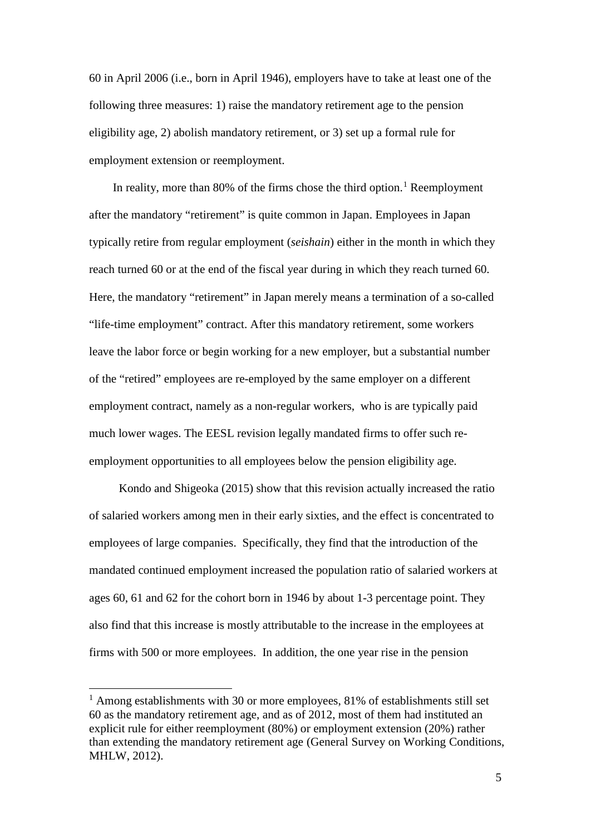60 in April 2006 (i.e., born in April 1946), employers have to take at least one of the following three measures: 1) raise the mandatory retirement age to the pension eligibility age, 2) abolish mandatory retirement, or 3) set up a formal rule for employment extension or reemployment.

In reality, more than 80% of the firms chose the third option.<sup>[1](#page-4-0)</sup> Reemployment after the mandatory "retirement" is quite common in Japan. Employees in Japan typically retire from regular employment (*seishain*) either in the month in which they reach turned 60 or at the end of the fiscal year during in which they reach turned 60. Here, the mandatory "retirement" in Japan merely means a termination of a so-called "life-time employment" contract. After this mandatory retirement, some workers leave the labor force or begin working for a new employer, but a substantial number of the "retired" employees are re-employed by the same employer on a different employment contract, namely as a non-regular workers, who is are typically paid much lower wages. The EESL revision legally mandated firms to offer such reemployment opportunities to all employees below the pension eligibility age.

Kondo and Shigeoka (2015) show that this revision actually increased the ratio of salaried workers among men in their early sixties, and the effect is concentrated to employees of large companies. Specifically, they find that the introduction of the mandated continued employment increased the population ratio of salaried workers at ages 60, 61 and 62 for the cohort born in 1946 by about 1-3 percentage point. They also find that this increase is mostly attributable to the increase in the employees at firms with 500 or more employees. In addition, the one year rise in the pension

 $\overline{a}$ 

<span id="page-4-0"></span><sup>&</sup>lt;sup>1</sup> Among establishments with 30 or more employees, 81% of establishments still set 60 as the mandatory retirement age, and as of 2012, most of them had instituted an explicit rule for either reemployment (80%) or employment extension (20%) rather than extending the mandatory retirement age (General Survey on Working Conditions, MHLW, 2012).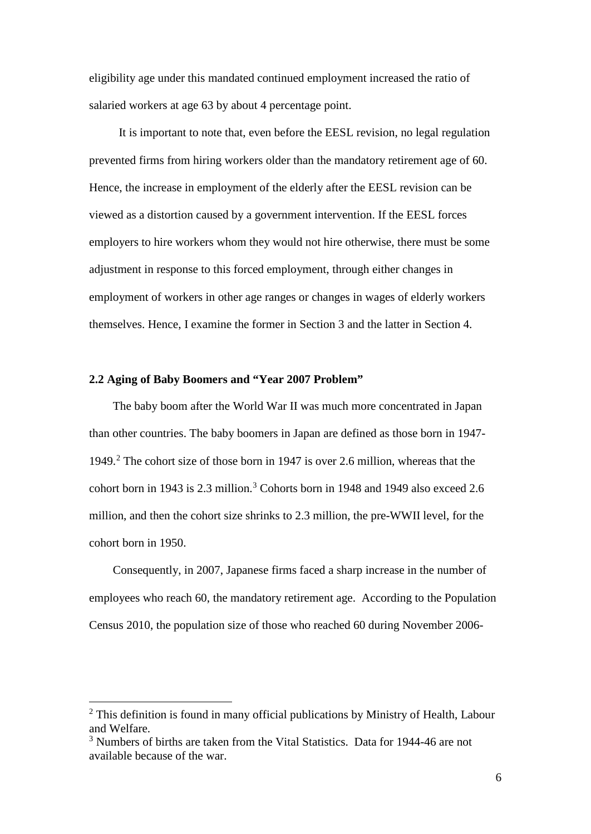eligibility age under this mandated continued employment increased the ratio of salaried workers at age 63 by about 4 percentage point.

It is important to note that, even before the EESL revision, no legal regulation prevented firms from hiring workers older than the mandatory retirement age of 60. Hence, the increase in employment of the elderly after the EESL revision can be viewed as a distortion caused by a government intervention. If the EESL forces employers to hire workers whom they would not hire otherwise, there must be some adjustment in response to this forced employment, through either changes in employment of workers in other age ranges or changes in wages of elderly workers themselves. Hence, I examine the former in Section 3 and the latter in Section 4.

#### **2.2 Aging of Baby Boomers and "Year 2007 Problem"**

The baby boom after the World War II was much more concentrated in Japan than other countries. The baby boomers in Japan are defined as those born in 1947- 1949.[2](#page-5-0) The cohort size of those born in 1947 is over 2.6 million, whereas that the cohort born in 1943 is 2.3 million. [3](#page-5-1) Cohorts born in 1948 and 1949 also exceed 2.6 million, and then the cohort size shrinks to 2.3 million, the pre-WWII level, for the cohort born in 1950.

Consequently, in 2007, Japanese firms faced a sharp increase in the number of employees who reach 60, the mandatory retirement age. According to the Population Census 2010, the population size of those who reached 60 during November 2006-

 $\overline{a}$ 

<span id="page-5-0"></span> $2$  This definition is found in many official publications by Ministry of Health, Labour and Welfare.

<span id="page-5-1"></span><sup>&</sup>lt;sup>3</sup> Numbers of births are taken from the Vital Statistics. Data for 1944-46 are not available because of the war.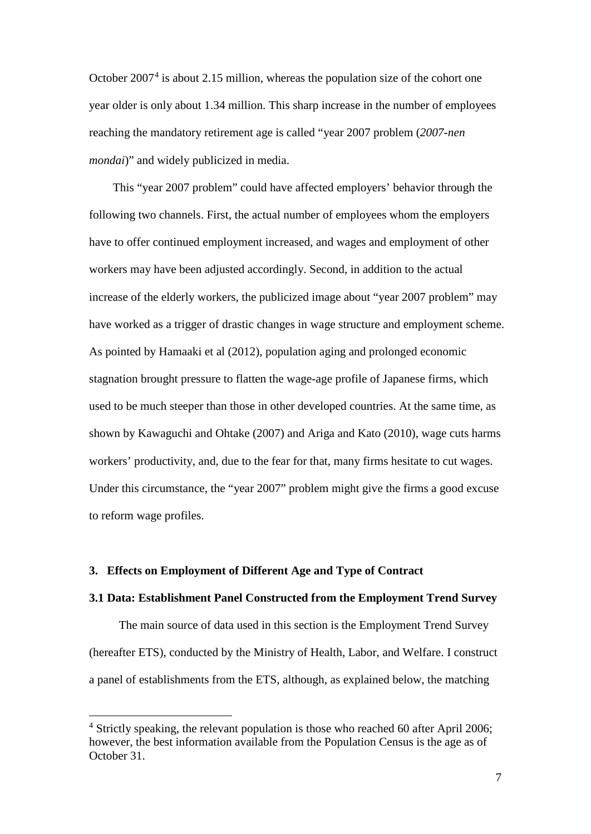October  $2007<sup>4</sup>$  $2007<sup>4</sup>$  $2007<sup>4</sup>$  is about 2.15 million, whereas the population size of the cohort one year older is only about 1.34 million. This sharp increase in the number of employees reaching the mandatory retirement age is called "year 2007 problem (*2007-nen mondai*)" and widely publicized in media.

This "year 2007 problem" could have affected employers' behavior through the following two channels. First, the actual number of employees whom the employers have to offer continued employment increased, and wages and employment of other workers may have been adjusted accordingly. Second, in addition to the actual increase of the elderly workers, the publicized image about "year 2007 problem" may have worked as a trigger of drastic changes in wage structure and employment scheme. As pointed by Hamaaki et al (2012), population aging and prolonged economic stagnation brought pressure to flatten the wage-age profile of Japanese firms, which used to be much steeper than those in other developed countries. At the same time, as shown by Kawaguchi and Ohtake (2007) and Ariga and Kato (2010), wage cuts harms workers' productivity, and, due to the fear for that, many firms hesitate to cut wages. Under this circumstance, the "year 2007" problem might give the firms a good excuse to reform wage profiles.

#### **3. Effects on Employment of Different Age and Type of Contract**

 $\overline{a}$ 

#### **3.1 Data: Establishment Panel Constructed from the Employment Trend Survey**

The main source of data used in this section is the Employment Trend Survey (hereafter ETS), conducted by the Ministry of Health, Labor, and Welfare. I construct a panel of establishments from the ETS, although, as explained below, the matching

<span id="page-6-0"></span><sup>&</sup>lt;sup>4</sup> Strictly speaking, the relevant population is those who reached 60 after April 2006; however, the best information available from the Population Census is the age as of October 31.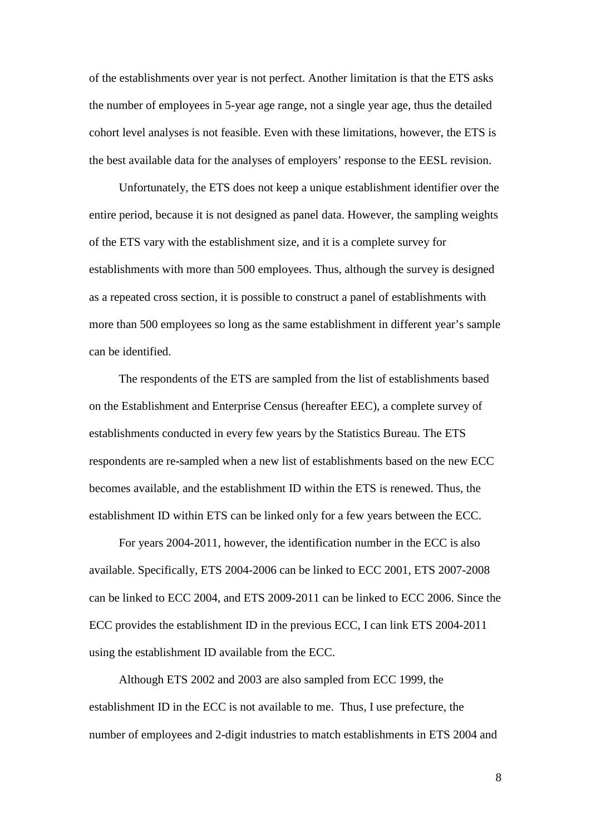of the establishments over year is not perfect. Another limitation is that the ETS asks the number of employees in 5-year age range, not a single year age, thus the detailed cohort level analyses is not feasible. Even with these limitations, however, the ETS is the best available data for the analyses of employers' response to the EESL revision.

Unfortunately, the ETS does not keep a unique establishment identifier over the entire period, because it is not designed as panel data. However, the sampling weights of the ETS vary with the establishment size, and it is a complete survey for establishments with more than 500 employees. Thus, although the survey is designed as a repeated cross section, it is possible to construct a panel of establishments with more than 500 employees so long as the same establishment in different year's sample can be identified.

The respondents of the ETS are sampled from the list of establishments based on the Establishment and Enterprise Census (hereafter EEC), a complete survey of establishments conducted in every few years by the Statistics Bureau. The ETS respondents are re-sampled when a new list of establishments based on the new ECC becomes available, and the establishment ID within the ETS is renewed. Thus, the establishment ID within ETS can be linked only for a few years between the ECC.

For years 2004-2011, however, the identification number in the ECC is also available. Specifically, ETS 2004-2006 can be linked to ECC 2001, ETS 2007-2008 can be linked to ECC 2004, and ETS 2009-2011 can be linked to ECC 2006. Since the ECC provides the establishment ID in the previous ECC, I can link ETS 2004-2011 using the establishment ID available from the ECC.

Although ETS 2002 and 2003 are also sampled from ECC 1999, the establishment ID in the ECC is not available to me. Thus, I use prefecture, the number of employees and 2-digit industries to match establishments in ETS 2004 and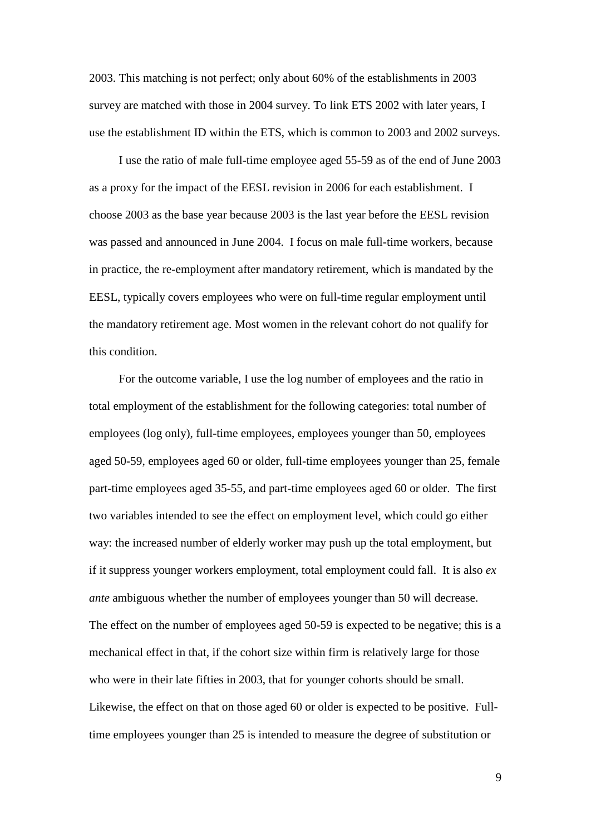2003. This matching is not perfect; only about 60% of the establishments in 2003 survey are matched with those in 2004 survey. To link ETS 2002 with later years, I use the establishment ID within the ETS, which is common to 2003 and 2002 surveys.

I use the ratio of male full-time employee aged 55-59 as of the end of June 2003 as a proxy for the impact of the EESL revision in 2006 for each establishment. I choose 2003 as the base year because 2003 is the last year before the EESL revision was passed and announced in June 2004. I focus on male full-time workers, because in practice, the re-employment after mandatory retirement, which is mandated by the EESL, typically covers employees who were on full-time regular employment until the mandatory retirement age. Most women in the relevant cohort do not qualify for this condition.

For the outcome variable, I use the log number of employees and the ratio in total employment of the establishment for the following categories: total number of employees (log only), full-time employees, employees younger than 50, employees aged 50-59, employees aged 60 or older, full-time employees younger than 25, female part-time employees aged 35-55, and part-time employees aged 60 or older. The first two variables intended to see the effect on employment level, which could go either way: the increased number of elderly worker may push up the total employment, but if it suppress younger workers employment, total employment could fall. It is also *ex ante* ambiguous whether the number of employees younger than 50 will decrease. The effect on the number of employees aged 50-59 is expected to be negative; this is a mechanical effect in that, if the cohort size within firm is relatively large for those who were in their late fifties in 2003, that for younger cohorts should be small. Likewise, the effect on that on those aged 60 or older is expected to be positive. Fulltime employees younger than 25 is intended to measure the degree of substitution or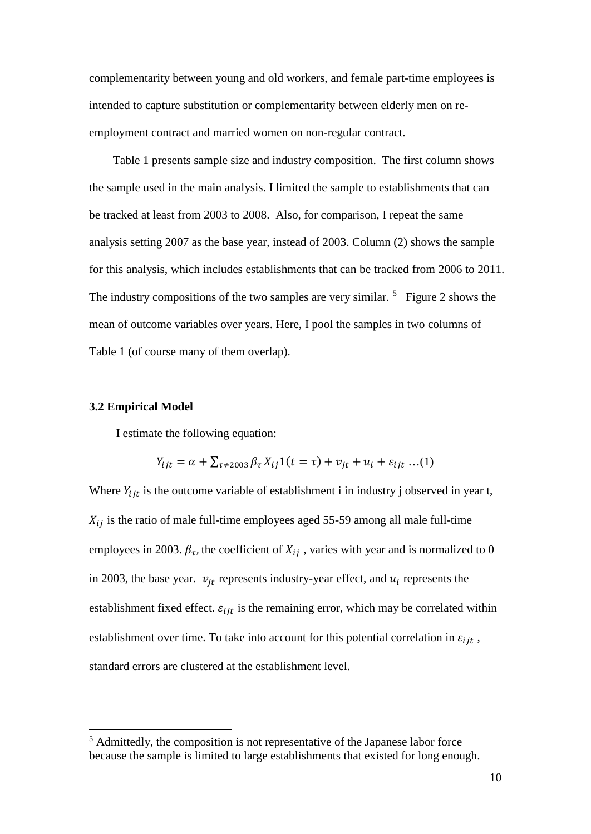complementarity between young and old workers, and female part-time employees is intended to capture substitution or complementarity between elderly men on reemployment contract and married women on non-regular contract.

 Table 1 presents sample size and industry composition. The first column shows the sample used in the main analysis. I limited the sample to establishments that can be tracked at least from 2003 to 2008. Also, for comparison, I repeat the same analysis setting 2007 as the base year, instead of 2003. Column (2) shows the sample for this analysis, which includes establishments that can be tracked from 2006 to 2011. The industry compositions of the two samples are very similar.  $5$  Figure 2 shows the mean of outcome variables over years. Here, I pool the samples in two columns of Table 1 (of course many of them overlap).

#### **3.2 Empirical Model**

 $\overline{a}$ 

I estimate the following equation:

$$
Y_{ijt} = \alpha + \sum_{\tau \neq 2003} \beta_{\tau} X_{ij} 1(t = \tau) + v_{jt} + u_i + \varepsilon_{ijt} \dots (1)
$$

Where  $Y_{ijt}$  is the outcome variable of establishment i in industry j observed in year t,  $X_{ij}$  is the ratio of male full-time employees aged 55-59 among all male full-time employees in 2003.  $\beta_{\tau}$ , the coefficient of  $X_{ij}$ , varies with year and is normalized to 0 in 2003, the base year.  $v_{it}$  represents industry-year effect, and  $u_i$  represents the establishment fixed effect.  $\varepsilon_{ijt}$  is the remaining error, which may be correlated within establishment over time. To take into account for this potential correlation in  $\varepsilon_{i}$ , standard errors are clustered at the establishment level.

<span id="page-9-0"></span><sup>5</sup> Admittedly, the composition is not representative of the Japanese labor force because the sample is limited to large establishments that existed for long enough.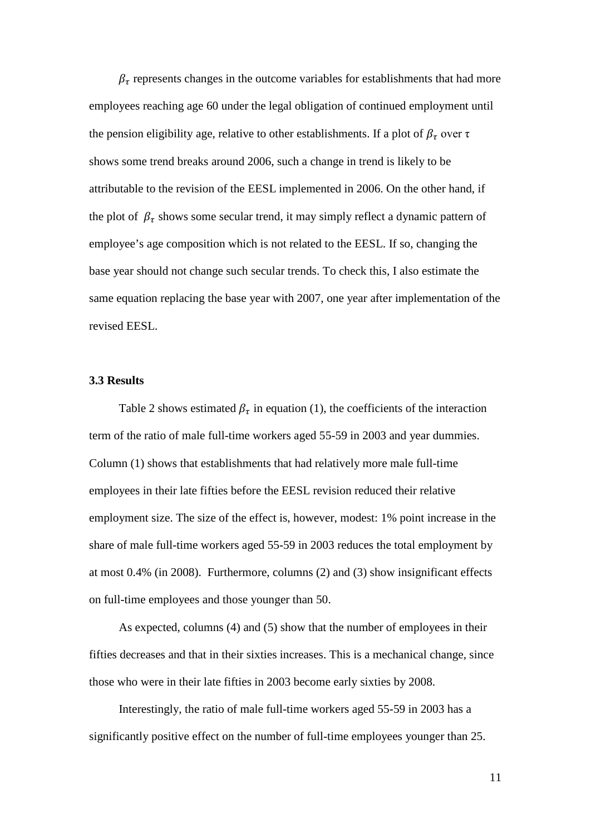$\beta_{\tau}$  represents changes in the outcome variables for establishments that had more employees reaching age 60 under the legal obligation of continued employment until the pension eligibility age, relative to other establishments. If a plot of  $\beta_{\tau}$  over  $\tau$ shows some trend breaks around 2006, such a change in trend is likely to be attributable to the revision of the EESL implemented in 2006. On the other hand, if the plot of  $\beta_{\tau}$  shows some secular trend, it may simply reflect a dynamic pattern of employee's age composition which is not related to the EESL. If so, changing the base year should not change such secular trends. To check this, I also estimate the same equation replacing the base year with 2007, one year after implementation of the revised EESL.

#### **3.3 Results**

Table 2 shows estimated  $\beta_{\tau}$  in equation (1), the coefficients of the interaction term of the ratio of male full-time workers aged 55-59 in 2003 and year dummies. Column (1) shows that establishments that had relatively more male full-time employees in their late fifties before the EESL revision reduced their relative employment size. The size of the effect is, however, modest: 1% point increase in the share of male full-time workers aged 55-59 in 2003 reduces the total employment by at most 0.4% (in 2008). Furthermore, columns (2) and (3) show insignificant effects on full-time employees and those younger than 50.

As expected, columns (4) and (5) show that the number of employees in their fifties decreases and that in their sixties increases. This is a mechanical change, since those who were in their late fifties in 2003 become early sixties by 2008.

Interestingly, the ratio of male full-time workers aged 55-59 in 2003 has a significantly positive effect on the number of full-time employees younger than 25.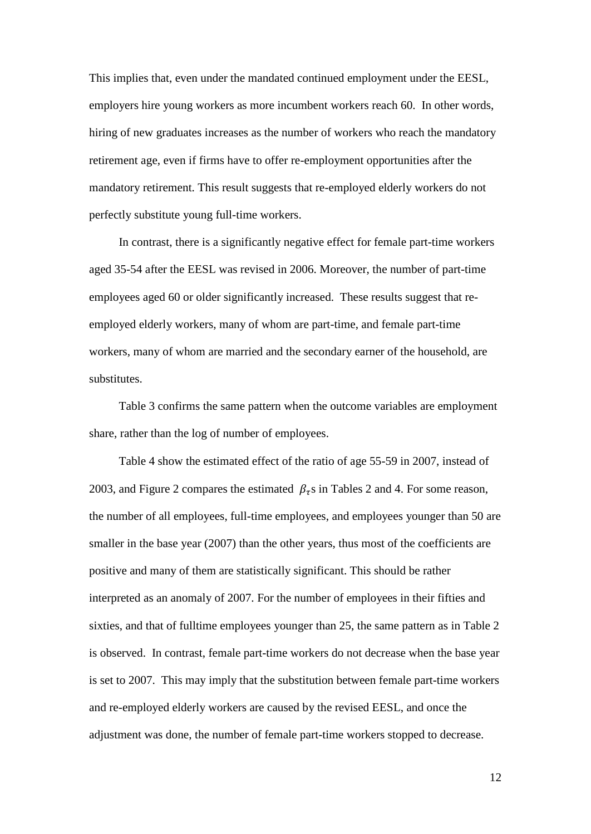This implies that, even under the mandated continued employment under the EESL, employers hire young workers as more incumbent workers reach 60. In other words, hiring of new graduates increases as the number of workers who reach the mandatory retirement age, even if firms have to offer re-employment opportunities after the mandatory retirement. This result suggests that re-employed elderly workers do not perfectly substitute young full-time workers.

In contrast, there is a significantly negative effect for female part-time workers aged 35-54 after the EESL was revised in 2006. Moreover, the number of part-time employees aged 60 or older significantly increased. These results suggest that reemployed elderly workers, many of whom are part-time, and female part-time workers, many of whom are married and the secondary earner of the household, are substitutes.

Table 3 confirms the same pattern when the outcome variables are employment share, rather than the log of number of employees.

Table 4 show the estimated effect of the ratio of age 55-59 in 2007, instead of 2003, and Figure 2 compares the estimated  $\beta_\tau s$  in Tables 2 and 4. For some reason, the number of all employees, full-time employees, and employees younger than 50 are smaller in the base year (2007) than the other years, thus most of the coefficients are positive and many of them are statistically significant. This should be rather interpreted as an anomaly of 2007. For the number of employees in their fifties and sixties, and that of fulltime employees younger than 25, the same pattern as in Table 2 is observed. In contrast, female part-time workers do not decrease when the base year is set to 2007. This may imply that the substitution between female part-time workers and re-employed elderly workers are caused by the revised EESL, and once the adjustment was done, the number of female part-time workers stopped to decrease.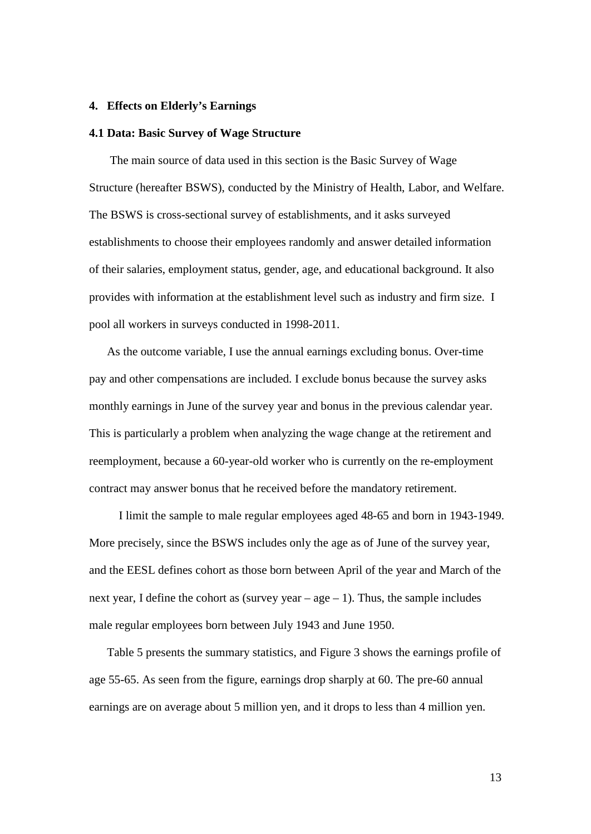#### **4. Effects on Elderly's Earnings**

#### **4.1 Data: Basic Survey of Wage Structure**

The main source of data used in this section is the Basic Survey of Wage Structure (hereafter BSWS), conducted by the Ministry of Health, Labor, and Welfare. The BSWS is cross-sectional survey of establishments, and it asks surveyed establishments to choose their employees randomly and answer detailed information of their salaries, employment status, gender, age, and educational background. It also provides with information at the establishment level such as industry and firm size. I pool all workers in surveys conducted in 1998-2011.

 As the outcome variable, I use the annual earnings excluding bonus. Over-time pay and other compensations are included. I exclude bonus because the survey asks monthly earnings in June of the survey year and bonus in the previous calendar year. This is particularly a problem when analyzing the wage change at the retirement and reemployment, because a 60-year-old worker who is currently on the re-employment contract may answer bonus that he received before the mandatory retirement.

I limit the sample to male regular employees aged 48-65 and born in 1943-1949. More precisely, since the BSWS includes only the age as of June of the survey year, and the EESL defines cohort as those born between April of the year and March of the next year, I define the cohort as (survey year  $-$  age  $-$  1). Thus, the sample includes male regular employees born between July 1943 and June 1950.

 Table 5 presents the summary statistics, and Figure 3 shows the earnings profile of age 55-65. As seen from the figure, earnings drop sharply at 60. The pre-60 annual earnings are on average about 5 million yen, and it drops to less than 4 million yen.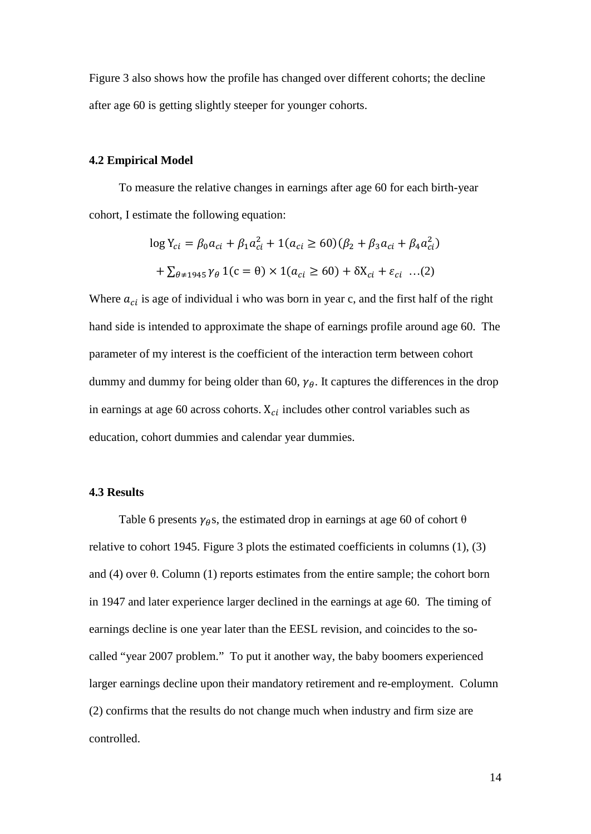Figure 3 also shows how the profile has changed over different cohorts; the decline after age 60 is getting slightly steeper for younger cohorts.

#### **4.2 Empirical Model**

To measure the relative changes in earnings after age 60 for each birth-year cohort, I estimate the following equation:

$$
\log Y_{ci} = \beta_0 a_{ci} + \beta_1 a_{ci}^2 + 1(a_{ci} \ge 60)(\beta_2 + \beta_3 a_{ci} + \beta_4 a_{ci}^2)
$$

$$
+ \sum_{\theta \ne 1945} \gamma_{\theta} 1(c = \theta) \times 1(a_{ci} \ge 60) + \delta X_{ci} + \varepsilon_{ci} \dots (2)
$$

Where  $a_{ci}$  is age of individual i who was born in year c, and the first half of the right hand side is intended to approximate the shape of earnings profile around age 60. The parameter of my interest is the coefficient of the interaction term between cohort dummy and dummy for being older than 60,  $\gamma_{\theta}$ . It captures the differences in the drop in earnings at age 60 across cohorts.  $X_{ci}$  includes other control variables such as education, cohort dummies and calendar year dummies.

#### **4.3 Results**

Table 6 presents  $\gamma_{\beta}$ s, the estimated drop in earnings at age 60 of cohort θ relative to cohort 1945. Figure 3 plots the estimated coefficients in columns (1), (3) and (4) over  $\theta$ . Column (1) reports estimates from the entire sample; the cohort born in 1947 and later experience larger declined in the earnings at age 60. The timing of earnings decline is one year later than the EESL revision, and coincides to the socalled "year 2007 problem." To put it another way, the baby boomers experienced larger earnings decline upon their mandatory retirement and re-employment. Column (2) confirms that the results do not change much when industry and firm size are controlled.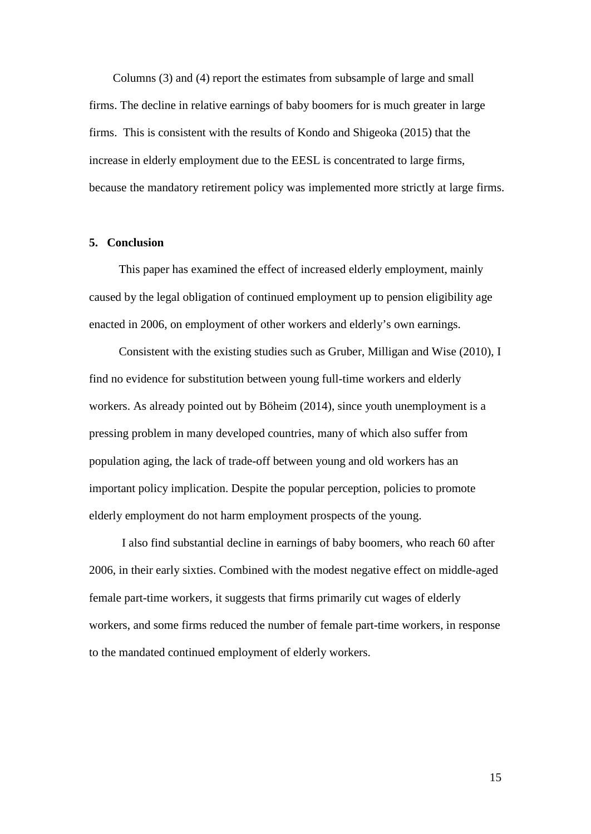Columns (3) and (4) report the estimates from subsample of large and small firms. The decline in relative earnings of baby boomers for is much greater in large firms. This is consistent with the results of Kondo and Shigeoka (2015) that the increase in elderly employment due to the EESL is concentrated to large firms, because the mandatory retirement policy was implemented more strictly at large firms.

#### **5. Conclusion**

This paper has examined the effect of increased elderly employment, mainly caused by the legal obligation of continued employment up to pension eligibility age enacted in 2006, on employment of other workers and elderly's own earnings.

Consistent with the existing studies such as Gruber, Milligan and Wise (2010), I find no evidence for substitution between young full-time workers and elderly workers. As already pointed out by Böheim (2014), since youth unemployment is a pressing problem in many developed countries, many of which also suffer from population aging, the lack of trade-off between young and old workers has an important policy implication. Despite the popular perception, policies to promote elderly employment do not harm employment prospects of the young.

I also find substantial decline in earnings of baby boomers, who reach 60 after 2006, in their early sixties. Combined with the modest negative effect on middle-aged female part-time workers, it suggests that firms primarily cut wages of elderly workers, and some firms reduced the number of female part-time workers, in response to the mandated continued employment of elderly workers.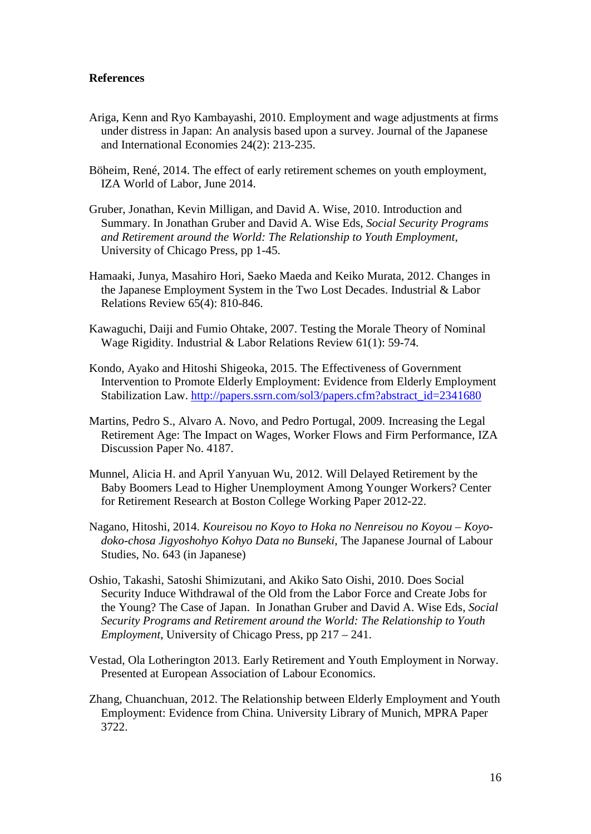#### **References**

- Ariga, Kenn and Ryo Kambayashi, 2010. Employment and wage adjustments at firms under distress in Japan: An analysis based upon a survey. Journal of the Japanese and International Economies 24(2): 213-235.
- Böheim, René, 2014. The effect of early retirement schemes on youth employment, IZA World of Labor, June 2014.
- Gruber, Jonathan, Kevin Milligan, and David A. Wise, 2010. Introduction and Summary. In Jonathan Gruber and David A. Wise Eds, *Social Security Programs and Retirement around the World: The Relationship to Youth Employment*, University of Chicago Press, pp 1-45.
- Hamaaki, Junya, Masahiro Hori, Saeko Maeda and Keiko Murata, 2012. Changes in the Japanese Employment System in the Two Lost Decades. Industrial & Labor Relations Review 65(4): 810-846.
- Kawaguchi, Daiji and Fumio Ohtake, 2007. Testing the Morale Theory of Nominal Wage Rigidity. Industrial & Labor Relations Review 61(1): 59-74.
- Kondo, Ayako and Hitoshi Shigeoka, 2015. The Effectiveness of Government Intervention to Promote Elderly Employment: Evidence from Elderly Employment Stabilization Law. [http://papers.ssrn.com/sol3/papers.cfm?abstract\\_id=2341680](http://papers.ssrn.com/sol3/papers.cfm?abstract_id=2341680)
- Martins, Pedro S., Alvaro A. Novo, and Pedro Portugal, 2009. Increasing the Legal Retirement Age: The Impact on Wages, Worker Flows and Firm Performance, IZA Discussion Paper No. 4187.
- Munnel, Alicia H. and April Yanyuan Wu, 2012. Will Delayed Retirement by the Baby Boomers Lead to Higher Unemployment Among Younger Workers? Center for Retirement Research at Boston College Working Paper 2012-22.
- Nagano, Hitoshi, 2014. *Koureisou no Koyo to Hoka no Nenreisou no Koyou – Koyodoko-chosa Jigyoshohyo Kohyo Data no Bunseki*, The Japanese Journal of Labour Studies, No. 643 (in Japanese)
- Oshio, Takashi, Satoshi Shimizutani, and Akiko Sato Oishi, 2010. Does Social Security Induce Withdrawal of the Old from the Labor Force and Create Jobs for the Young? The Case of Japan. In Jonathan Gruber and David A. Wise Eds, *Social Security Programs and Retirement around the World: The Relationship to Youth Employment*, University of Chicago Press, pp 217 – 241.
- Vestad, Ola Lotherington 2013. Early Retirement and Youth Employment in Norway. Presented at European Association of Labour Economics.
- Zhang, Chuanchuan, 2012. The Relationship between Elderly Employment and Youth Employment: Evidence from China. University Library of Munich, MPRA Paper 3722.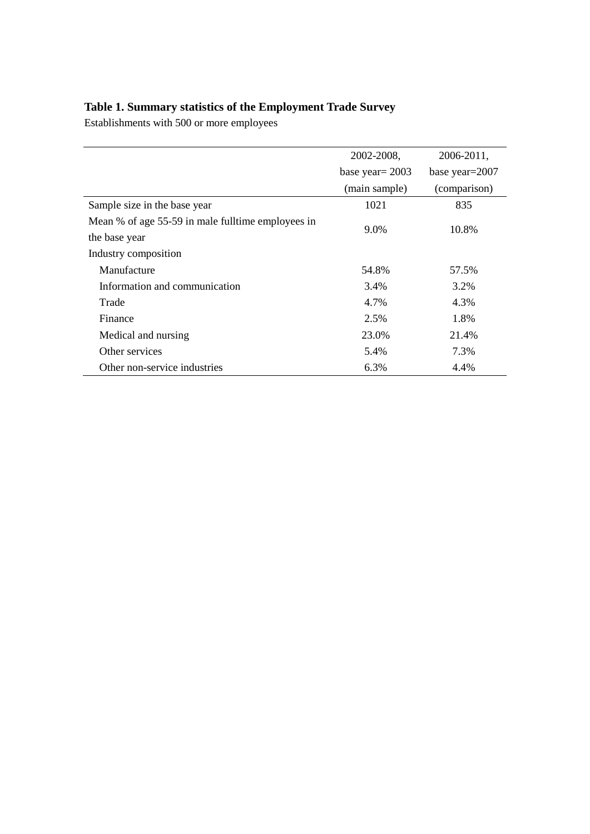## **Table 1. Summary statistics of the Employment Trade Survey**

Establishments with 500 or more employees

|                                                   | 2002-2008,         | 2006-2011,     |
|---------------------------------------------------|--------------------|----------------|
|                                                   | base year $= 2003$ | base year=2007 |
|                                                   | (main sample)      | (comparison)   |
| Sample size in the base year                      | 1021               | 835            |
| Mean % of age 55-59 in male fulltime employees in | 9.0%               | 10.8%          |
| the base year                                     |                    |                |
| Industry composition                              |                    |                |
| Manufacture                                       | 54.8%              | 57.5%          |
| Information and communication                     | 3.4%               | 3.2%           |
| Trade                                             | 4.7%               | 4.3%           |
| Finance                                           | 2.5%               | 1.8%           |
| Medical and nursing                               | 23.0%              | 21.4%          |
| Other services                                    | 5.4%               | 7.3%           |
| Other non-service industries                      | 6.3%               | 4.4%           |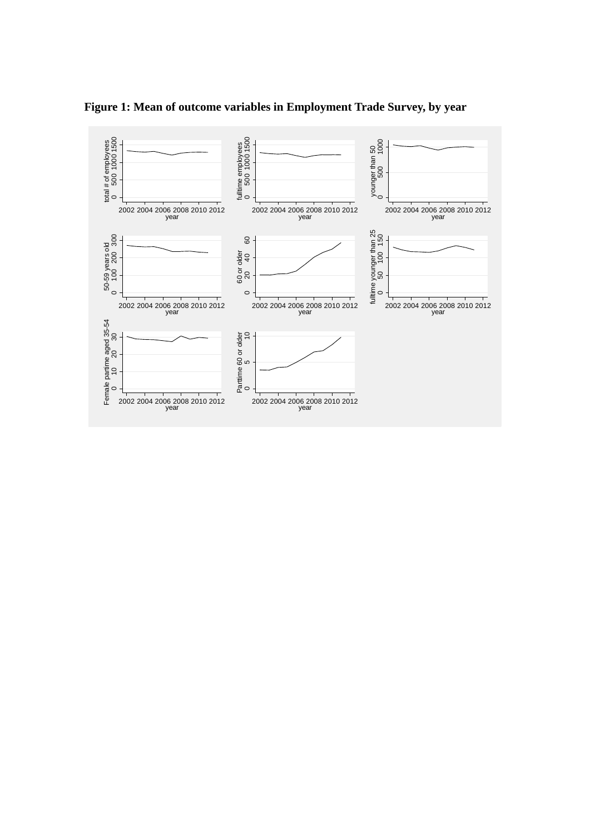

**Figure 1: Mean of outcome variables in Employment Trade Survey, by year**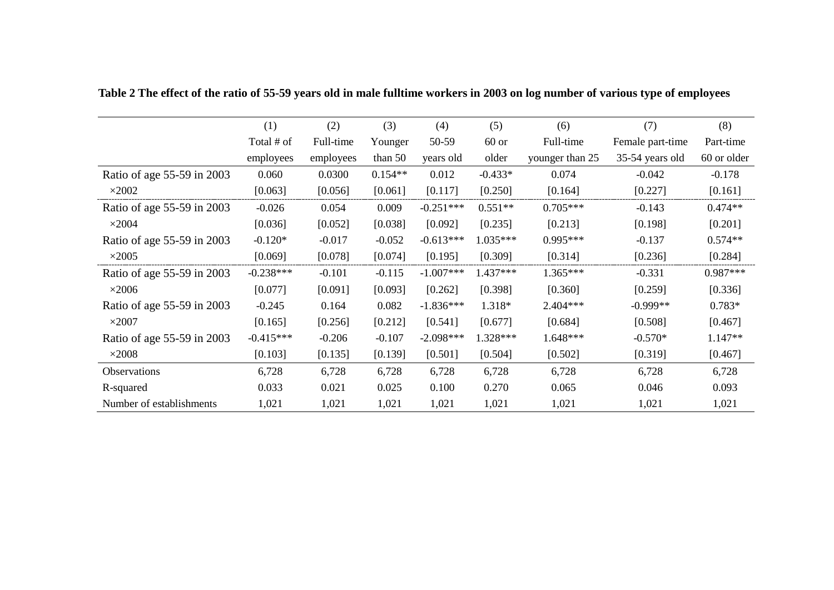|                            | (1)         | (2)       | (3)       | (4)         | (5)        | (6)             | (7)              | (8)         |
|----------------------------|-------------|-----------|-----------|-------------|------------|-----------------|------------------|-------------|
|                            | Total # of  | Full-time | Younger   | 50-59       | $60$ or    | Full-time       | Female part-time | Part-time   |
|                            | employees   | employees | than $50$ | years old   | older      | younger than 25 | 35-54 years old  | 60 or older |
| Ratio of age 55-59 in 2003 | 0.060       | 0.0300    | $0.154**$ | 0.012       | $-0.433*$  | 0.074           | $-0.042$         | $-0.178$    |
| $\times 2002$              | [0.063]     | [0.056]   | [0.061]   | [0.117]     | [0.250]    | [0.164]         | [0.227]          | [0.161]     |
| Ratio of age 55-59 in 2003 | $-0.026$    | 0.054     | 0.009     | $-0.251***$ | $0.551**$  | $0.705***$      | $-0.143$         | $0.474**$   |
| $\times 2004$              | [0.036]     | [0.052]   | [0.038]   | [0.092]     | [0.235]    | [0.213]         | [0.198]          | [0.201]     |
| Ratio of age 55-59 in 2003 | $-0.120*$   | $-0.017$  | $-0.052$  | $-0.613***$ | $1.035***$ | $0.995***$      | $-0.137$         | $0.574**$   |
| $\times 2005$              | [0.069]     | [0.078]   | [0.074]   | [0.195]     | [0.309]    | [0.314]         | [0.236]          | [0.284]     |
| Ratio of age 55-59 in 2003 | $-0.238***$ | $-0.101$  | $-0.115$  | $-1.007***$ | $1.437***$ | $1.365***$      | $-0.331$         | $0.987***$  |
| $\times 2006$              | [0.077]     | [0.091]   | [0.093]   | [0.262]     | [0.398]    | [0.360]         | [0.259]          | [0.336]     |
| Ratio of age 55-59 in 2003 | $-0.245$    | 0.164     | 0.082     | $-1.836***$ | 1.318*     | $2.404***$      | $-0.999**$       | $0.783*$    |
| $\times 2007$              | [0.165]     | [0.256]   | [0.212]   | [0.541]     | [0.677]    | [0.684]         | [0.508]          | [0.467]     |
| Ratio of age 55-59 in 2003 | $-0.415***$ | $-0.206$  | $-0.107$  | $-2.098***$ | $1.328***$ | $1.648***$      | $-0.570*$        | $1.147**$   |
| $\times 2008$              | [0.103]     | [0.135]   | [0.139]   | [0.501]     | [0.504]    | [0.502]         | [0.319]          | [0.467]     |
| Observations               | 6,728       | 6,728     | 6,728     | 6,728       | 6,728      | 6,728           | 6,728            | 6,728       |
| R-squared                  | 0.033       | 0.021     | 0.025     | 0.100       | 0.270      | 0.065           | 0.046            | 0.093       |
| Number of establishments   | 1,021       | 1,021     | 1,021     | 1,021       | 1,021      | 1,021           | 1,021            | 1,021       |

**Table 2 The effect of the ratio of 55-59 years old in male fulltime workers in 2003 on log number of various type of employees**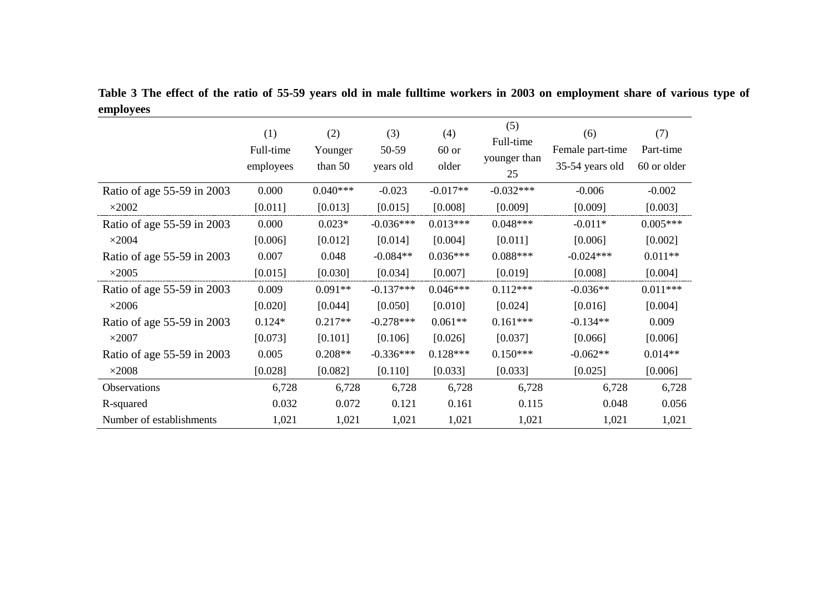**Table 3 The effect of the ratio of 55-59 years old in male fulltime workers in 2003 on employment share of various type of employees** 

|                            | (1)<br>Full-time<br>employees | (2)<br>Younger<br>than $50$ | (3)<br>50-59<br>years old | (4)<br>$60$ or<br>older | (5)<br>Full-time<br>younger than<br>25 | (6)<br>Female part-time<br>35-54 years old | (7)<br>Part-time<br>60 or older |
|----------------------------|-------------------------------|-----------------------------|---------------------------|-------------------------|----------------------------------------|--------------------------------------------|---------------------------------|
| Ratio of age 55-59 in 2003 | 0.000                         | $0.040***$                  | $-0.023$                  | $-0.017**$              | $-0.032***$                            | $-0.006$                                   | $-0.002$                        |
| $\times 2002$              | [0.011]                       | [0.013]                     | [0.015]                   | [0.008]                 | [0.009]                                | [0.009]                                    | [0.003]                         |
| Ratio of age 55-59 in 2003 | 0.000                         | $0.023*$                    | $-0.036***$               | $0.013***$              | $0.048***$                             | $-0.011*$                                  | $0.005***$                      |
| $\times 2004$              | [0.006]                       | [0.012]                     | [0.014]                   | [0.004]                 | [0.011]                                | [0.006]                                    | [0.002]                         |
| Ratio of age 55-59 in 2003 | 0.007                         | 0.048                       | $-0.084**$                | $0.036***$              | $0.088***$                             | $-0.024***$                                | $0.011**$                       |
| $\times 2005$              | [0.015]                       | [0.030]                     | [0.034]                   | [0.007]                 | [0.019]                                | [0.008]                                    | [0.004]                         |
| Ratio of age 55-59 in 2003 | 0.009                         | $0.091**$                   | $-0.137***$               | $0.046***$              | $0.112***$                             | $-0.036**$                                 | $0.011***$                      |
| $\times 2006$              | [0.020]                       | [0.044]                     | [0.050]                   | [0.010]                 | [0.024]                                | [0.016]                                    | [0.004]                         |
| Ratio of age 55-59 in 2003 | $0.124*$                      | $0.217**$                   | $-0.278***$               | $0.061**$               | $0.161***$                             | $-0.134**$                                 | 0.009                           |
| $\times 2007$              | [0.073]                       | [0.101]                     | [0.106]                   | [0.026]                 | [0.037]                                | [0.066]                                    | [0.006]                         |
| Ratio of age 55-59 in 2003 | 0.005                         | $0.208**$                   | $-0.336***$               | $0.128***$              | $0.150***$                             | $-0.062**$                                 | $0.014**$                       |
| $\times 2008$              | [0.028]                       | [0.082]                     | [0.110]                   | [0.033]                 | [0.033]                                | [0.025]                                    | [0.006]                         |
| Observations               | 6,728                         | 6,728                       | 6,728                     | 6,728                   | 6,728                                  | 6,728                                      | 6,728                           |
| R-squared                  | 0.032                         | 0.072                       | 0.121                     | 0.161                   | 0.115                                  | 0.048                                      | 0.056                           |
| Number of establishments   | 1,021                         | 1,021                       | 1,021                     | 1,021                   | 1,021                                  | 1,021                                      | 1,021                           |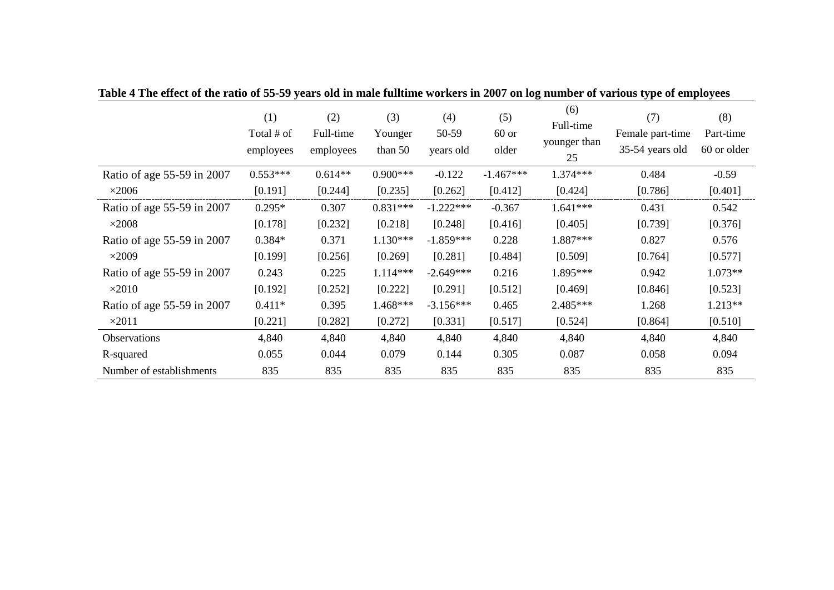|                            | (1)<br>Total # of<br>employees | (2)<br>Full-time<br>employees | (3)<br>Younger<br>than $50$ | (4)<br>50-59<br>years old | (5)<br>$60$ or<br>older | (6)<br>Full-time<br>younger than<br>25 | (7)<br>Female part-time<br>35-54 years old | (8)<br>Part-time<br>60 or older |
|----------------------------|--------------------------------|-------------------------------|-----------------------------|---------------------------|-------------------------|----------------------------------------|--------------------------------------------|---------------------------------|
| Ratio of age 55-59 in 2007 | $0.553***$                     | $0.614**$                     | $0.900***$                  | $-0.122$                  | $-1.467***$             | $1.374***$                             | 0.484                                      | $-0.59$                         |
| $\times 2006$              | [0.191]                        | [0.244]                       | [0.235]                     | [0.262]                   | [0.412]                 | [0.424]                                | [0.786]                                    | [0.401]                         |
| Ratio of age 55-59 in 2007 | $0.295*$                       | 0.307                         | $0.831***$                  | $-1.222***$               | $-0.367$                | $1.641***$                             | 0.431                                      | 0.542                           |
| $\times 2008$              | [0.178]                        | [0.232]                       | [0.218]                     | [0.248]                   | [0.416]                 | [0.405]                                | [0.739]                                    | [0.376]                         |
| Ratio of age 55-59 in 2007 | $0.384*$                       | 0.371                         | $1.130***$                  | $-1.859***$               | 0.228                   | $1.887***$                             | 0.827                                      | 0.576                           |
| $\times$ 2009              | [0.199]                        | [0.256]                       | [0.269]                     | [0.281]                   | [0.484]                 | [0.509]                                | [0.764]                                    | [0.577]                         |
| Ratio of age 55-59 in 2007 | 0.243                          | 0.225                         | $1.114***$                  | $-2.649***$               | 0.216                   | $1.895***$                             | 0.942                                      | $1.073**$                       |
| $\times 2010$              | [0.192]                        | [0.252]                       | [0.222]                     | [0.291]                   | [0.512]                 | [0.469]                                | [0.846]                                    | [0.523]                         |
| Ratio of age 55-59 in 2007 | $0.411*$                       | 0.395                         | 1.468***                    | $-3.156***$               | 0.465                   | $2.485***$                             | 1.268                                      | $1.213**$                       |
| $\times 2011$              | [0.221]                        | [0.282]                       | [0.272]                     | [0.331]                   | [0.517]                 | [0.524]                                | [0.864]                                    | [0.510]                         |
| Observations               | 4,840                          | 4,840                         | 4,840                       | 4,840                     | 4,840                   | 4,840                                  | 4,840                                      | 4,840                           |
| R-squared                  | 0.055                          | 0.044                         | 0.079                       | 0.144                     | 0.305                   | 0.087                                  | 0.058                                      | 0.094                           |
| Number of establishments   | 835                            | 835                           | 835                         | 835                       | 835                     | 835                                    | 835                                        | 835                             |

**Table 4 The effect of the ratio of 55-59 years old in male fulltime workers in 2007 on log number of various type of employees**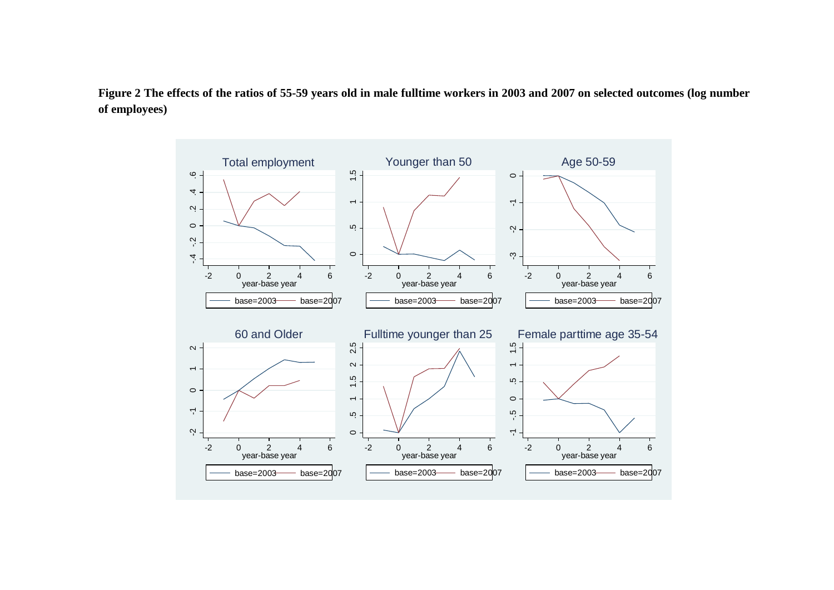**Figure 2 The effects of the ratios of 55-59 years old in male fulltime workers in 2003 and 2007 on selected outcomes (log number of employees)**

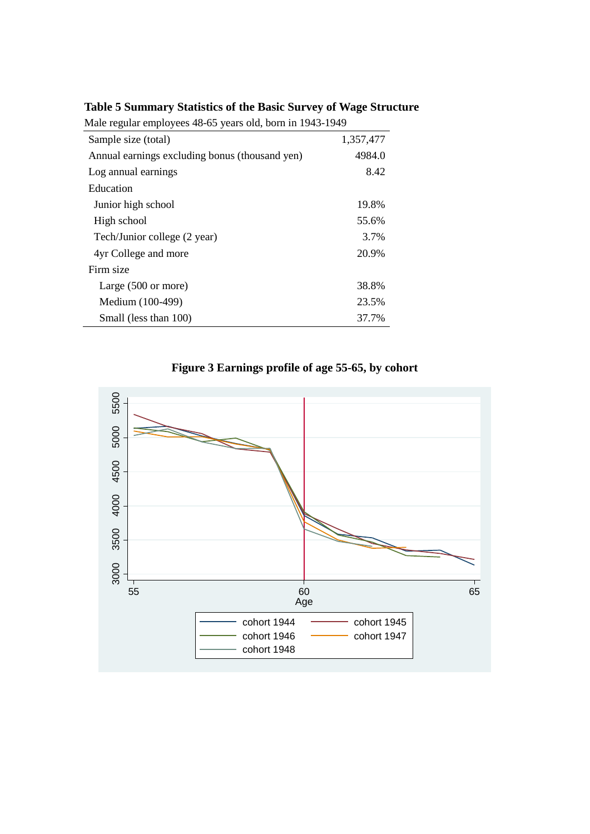### **Table 5 Summary Statistics of the Basic Survey of Wage Structure**

Male regular employees 48-65 years old, born in 1943-1949

| 1,357,477 |
|-----------|
| 4984.0    |
| 8.42      |
|           |
| 19.8%     |
| 55.6%     |
| 3.7%      |
| 20.9%     |
|           |
| 38.8%     |
| 23.5%     |
| 37.7%     |
|           |

**Figure 3 Earnings profile of age 55-65, by cohort**

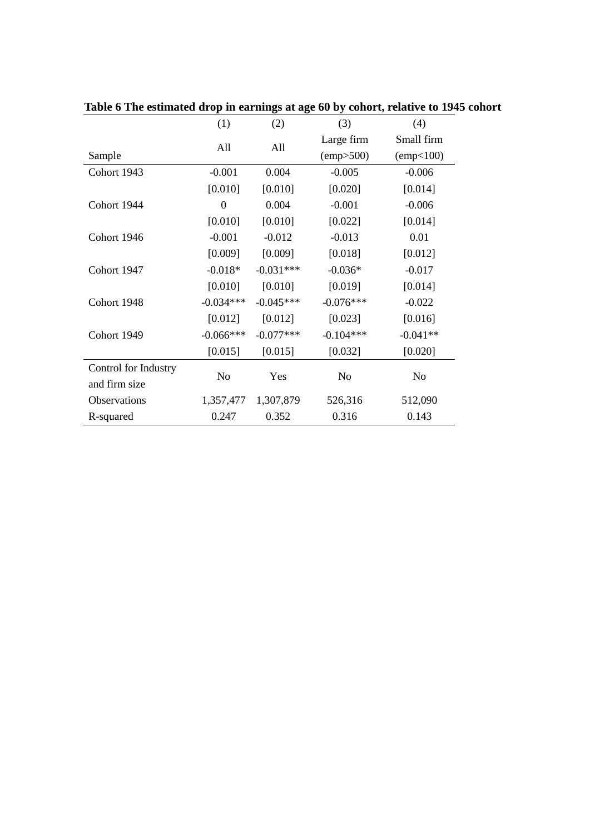|                      | (1)            | (2)         | (3)                             | (4)                             |
|----------------------|----------------|-------------|---------------------------------|---------------------------------|
|                      |                |             | Large firm                      | Small firm                      |
| Sample               | All<br>All     |             | $\left( \text{emp>500} \right)$ | $\left( \text{emp<}100 \right)$ |
| Cohort 1943          | $-0.001$       | 0.004       | $-0.005$                        | $-0.006$                        |
|                      | [0.010]        | [0.010]     | [0.020]                         | [0.014]                         |
| Cohort 1944          | $\overline{0}$ | 0.004       | $-0.001$                        | $-0.006$                        |
|                      | [0.010]        | [0.010]     | [0.022]                         | [0.014]                         |
| Cohort 1946          | $-0.001$       | $-0.012$    | $-0.013$                        | 0.01                            |
|                      | [0.009]        | [0.009]     | [0.018]                         | [0.012]                         |
| Cohort 1947          | $-0.018*$      | $-0.031***$ | $-0.036*$                       | $-0.017$                        |
|                      | [0.010]        | [0.010]     | [0.019]                         | [0.014]                         |
| Cohort 1948          | $-0.034***$    | $-0.045***$ | $-0.076***$                     | $-0.022$                        |
|                      | [0.012]        | [0.012]     | [0.023]                         | [0.016]                         |
| Cohort 1949          | $-0.066***$    | $-0.077***$ | $-0.104***$                     | $-0.041**$                      |
|                      | [0.015]        | [0.015]     | [0.032]                         | [0.020]                         |
| Control for Industry | No             | Yes         | N <sub>0</sub>                  | No                              |
| and firm size        |                |             |                                 |                                 |
| Observations         | 1,357,477      | 1,307,879   | 526,316                         | 512,090                         |
| R-squared            | 0.247          | 0.352       | 0.316                           | 0.143                           |

**Table 6 The estimated drop in earnings at age 60 by cohort, relative to 1945 cohort**